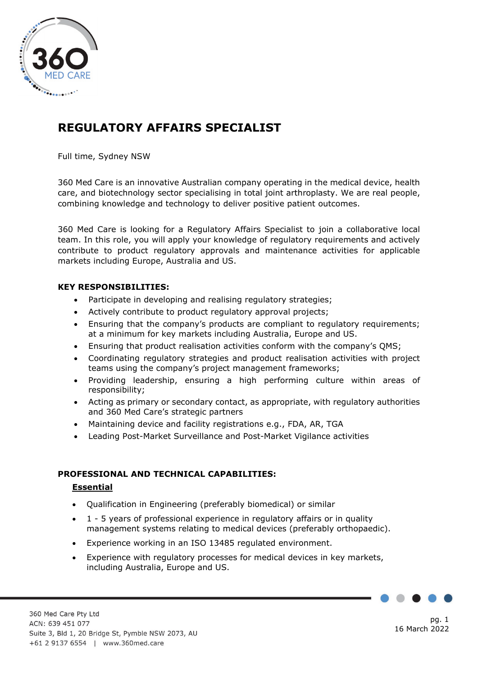

# **REGULATORY AFFAIRS SPECIALIST**

Full time, Sydney NSW

360 Med Care is an innovative Australian company operating in the medical device, health care, and biotechnology sector specialising in total joint arthroplasty. We are real people, combining knowledge and technology to deliver positive patient outcomes.

360 Med Care is looking for a Regulatory Affairs Specialist to join a collaborative local team. In this role, you will apply your knowledge of regulatory requirements and actively contribute to product regulatory approvals and maintenance activities for applicable markets including Europe, Australia and US.

### **KEY RESPONSIBILITIES:**

- Participate in developing and realising regulatory strategies;
- Actively contribute to product regulatory approval projects;
- Ensuring that the company's products are compliant to regulatory requirements; at a minimum for key markets including Australia, Europe and US.
- Ensuring that product realisation activities conform with the company's QMS;
- Coordinating regulatory strategies and product realisation activities with project teams using the company's project management frameworks;
- Providing leadership, ensuring a high performing culture within areas of responsibility;
- Acting as primary or secondary contact, as appropriate, with regulatory authorities and 360 Med Care's strategic partners
- Maintaining device and facility registrations e.g., FDA, AR, TGA
- Leading Post-Market Surveillance and Post-Market Vigilance activities

## **PROFESSIONAL AND TECHNICAL CAPABILITIES:**

#### **Essential**

- Qualification in Engineering (preferably biomedical) or similar
- 1 5 years of professional experience in regulatory affairs or in quality management systems relating to medical devices (preferably orthopaedic).
- Experience working in an ISO 13485 regulated environment.
- Experience with regulatory processes for medical devices in key markets, including Australia, Europe and US.

pg. 1 16 March 2022